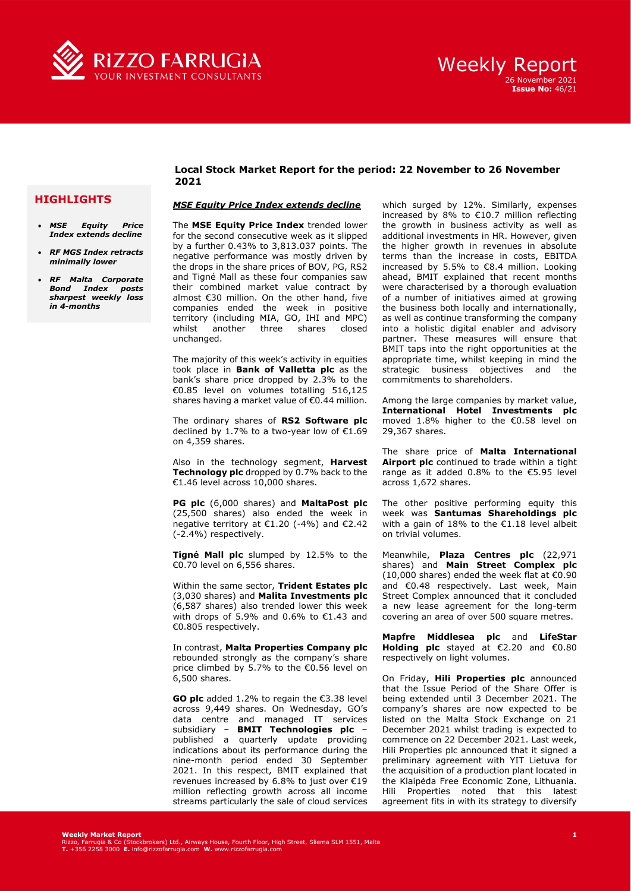

### **HIGHLIGHTS**

- *MSE Equity Price Index extends decline*
- *RF MGS Index retracts minimally lower*
- *RF Malta Corporate Bond Index posts sharpest weekly loss in 4-months*

### **Local Stock Market Report for the period: 22 November to 26 November 2021**

#### *MSE Equity Price Index extends decline*

The **MSE Equity Price Index** trended lower for the second consecutive week as it slipped by a further 0.43% to 3,813.037 points. The negative performance was mostly driven by the drops in the share prices of BOV, PG, RS2 and Tigné Mall as these four companies saw their combined market value contract by almost €30 million. On the other hand, five companies ended the week in positive territory (including MIA, GO, IHI and MPC) whilst another three shares closed unchanged.

The majority of this week's activity in equities took place in **Bank of Valletta plc** as the bank's share price dropped by 2.3% to the €0.85 level on volumes totalling 516,125 shares having a market value of €0.44 million.

The ordinary shares of **RS2 Software plc**  declined by 1.7% to a two-year low of €1.69 on 4,359 shares.

Also in the technology segment, **Harvest Technology plc** dropped by 0.7% back to the €1.46 level across 10,000 shares.

**PG plc** (6,000 shares) and **MaltaPost plc** (25,500 shares) also ended the week in negative territory at €1.20 (-4%) and €2.42 (-2.4%) respectively.

**Tigné Mall plc** slumped by 12.5% to the €0.70 level on 6,556 shares.

Within the same sector, **Trident Estates plc**  (3,030 shares) and **Malita Investments plc**  (6,587 shares) also trended lower this week with drops of 5.9% and 0.6% to €1.43 and €0.805 respectively.

In contrast, **Malta Properties Company plc**  rebounded strongly as the company's share price climbed by 5.7% to the €0.56 level on 6,500 shares.

**GO plc** added 1.2% to regain the €3.38 level across 9,449 shares. On Wednesday, GO's data centre and managed IT services subsidiary – **BMIT Technologies plc** – published a quarterly update providing indications about its performance during the nine-month period ended 30 September 2021. In this respect, BMIT explained that revenues increased by 6.8% to just over €19 million reflecting growth across all income streams particularly the sale of cloud services

which surged by 12%. Similarly, expenses increased by 8% to €10.7 million reflecting the growth in business activity as well as additional investments in HR. However, given the higher growth in revenues in absolute terms than the increase in costs, EBITDA increased by 5.5% to €8.4 million. Looking ahead, BMIT explained that recent months were characterised by a thorough evaluation of a number of initiatives aimed at growing the business both locally and internationally, as well as continue transforming the company into a holistic digital enabler and advisory partner. These measures will ensure that BMIT taps into the right opportunities at the appropriate time, whilst keeping in mind the strategic business objectives and the commitments to shareholders.

Among the large companies by market value, **International Hotel Investments plc** moved 1.8% higher to the €0.58 level on 29,367 shares.

The share price of **Malta International Airport plc** continued to trade within a tight range as it added 0.8% to the  $\epsilon$ 5.95 level across 1,672 shares.

The other positive performing equity this week was **Santumas Shareholdings plc** with a gain of 18% to the €1.18 level albeit on trivial volumes.

Meanwhile, **Plaza Centres plc** (22,971 shares) and **Main Street Complex plc**  (10,000 shares) ended the week flat at  $€0.90$ and €0.48 respectively. Last week, Main Street Complex announced that it concluded a new lease agreement for the long-term covering an area of over 500 square metres.

**Mapfre Middlesea plc** and **LifeStar Holding plc** stayed at €2.20 and €0.80 respectively on light volumes.

On Friday, **Hili Properties plc** announced that the Issue Period of the Share Offer is being extended until 3 December 2021. The company's shares are now expected to be listed on the Malta Stock Exchange on 21 December 2021 whilst trading is expected to commence on 22 December 2021. Last week, Hili Properties plc announced that it signed a preliminary agreement with YIT Lietuva for the acquisition of a production plant located in the Klaipėda Free Economic Zone, Lithuania. Hili Properties noted that this latest agreement fits in with its strategy to diversify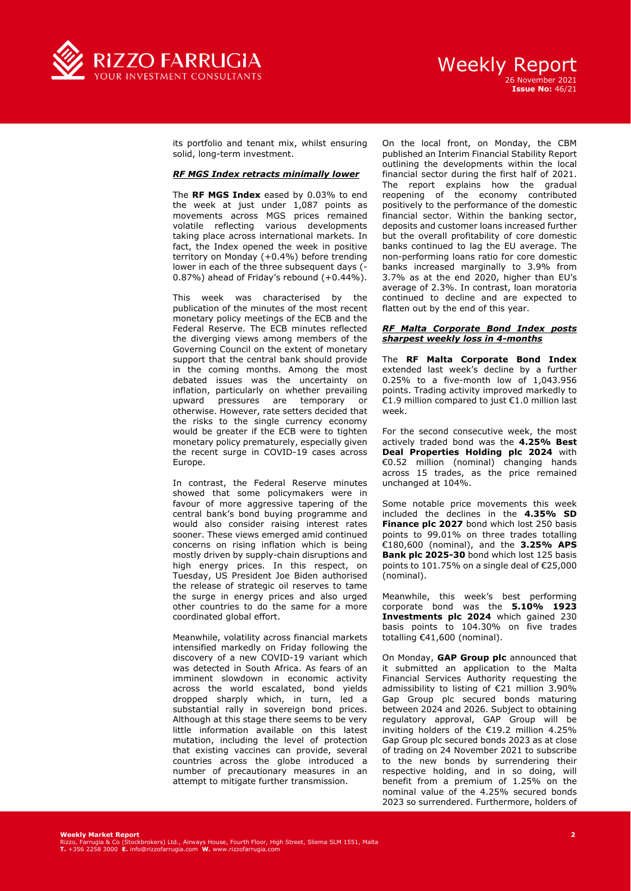

# Weekly Report 26 November 2021

**Issue No:** 46/21

its portfolio and tenant mix, whilst ensuring solid, long-term investment.

### *RF MGS Index retracts minimally lower*

The **RF MGS Index** eased by 0.03% to end the week at just under 1,087 points as movements across MGS prices remained volatile reflecting various developments taking place across international markets. In fact, the Index opened the week in positive territory on Monday (+0.4%) before trending lower in each of the three subsequent days (-0.87%) ahead of Friday's rebound (+0.44%).

This week was characterised by the publication of the minutes of the most recent monetary policy meetings of the ECB and the Federal Reserve. The ECB minutes reflected the diverging views among members of the Governing Council on the extent of monetary support that the central bank should provide in the coming months. Among the most debated issues was the uncertainty on inflation, particularly on whether prevailing upward pressures are temporary or otherwise. However, rate setters decided that the risks to the single currency economy would be greater if the ECB were to tighten monetary policy prematurely, especially given the recent surge in COVID-19 cases across Europe.

In contrast, the Federal Reserve minutes showed that some policymakers were in favour of more aggressive tapering of the central bank's bond buying programme and would also consider raising interest rates sooner. These views emerged amid continued concerns on rising inflation which is being mostly driven by supply-chain disruptions and high energy prices. In this respect, on Tuesday, US President Joe Biden authorised the release of strategic oil reserves to tame the surge in energy prices and also urged other countries to do the same for a more coordinated global effort.

Meanwhile, volatility across financial markets intensified markedly on Friday following the discovery of a new COVID-19 variant which was detected in South Africa. As fears of an imminent slowdown in economic activity across the world escalated, bond yields dropped sharply which, in turn, led a substantial rally in sovereign bond prices. Although at this stage there seems to be very little information available on this latest mutation, including the level of protection that existing vaccines can provide, several countries across the globe introduced a number of precautionary measures in an attempt to mitigate further transmission.

On the local front, on Monday, the CBM published an Interim Financial Stability Report outlining the developments within the local financial sector during the first half of 2021. The report explains how the gradual reopening of the economy contributed positively to the performance of the domestic financial sector. Within the banking sector, deposits and customer loans increased further but the overall profitability of core domestic banks continued to lag the EU average. The non-performing loans ratio for core domestic banks increased marginally to 3.9% from 3.7% as at the end 2020, higher than EU's average of 2.3%. In contrast, loan moratoria continued to decline and are expected to flatten out by the end of this year.

#### *RF Malta Corporate Bond Index posts sharpest weekly loss in 4-months*

The **RF Malta Corporate Bond Index** extended last week's decline by a further 0.25% to a five-month low of 1,043.956 points. Trading activity improved markedly to €1.9 million compared to just €1.0 million last week.

For the second consecutive week, the most actively traded bond was the **4.25% Best Deal Properties Holding plc 2024** with €0.52 million (nominal) changing hands across 15 trades, as the price remained unchanged at 104%.

Some notable price movements this week included the declines in the **4.35% SD Finance plc 2027** bond which lost 250 basis points to 99.01% on three trades totalling €180,600 (nominal), and the **3.25% APS Bank plc 2025-30** bond which lost 125 basis points to 101.75% on a single deal of €25,000 (nominal).

Meanwhile, this week's best performing corporate bond was the **5.10% 1923 Investments plc 2024** which gained 230 basis points to 104.30% on five trades totalling €41,600 (nominal).

On Monday, **GAP Group plc** announced that it submitted an application to the Malta Financial Services Authority requesting the admissibility to listing of €21 million 3.90% Gap Group plc secured bonds maturing between 2024 and 2026. Subject to obtaining regulatory approval, GAP Group will be inviting holders of the €19.2 million 4.25% Gap Group plc secured bonds 2023 as at close of trading on 24 November 2021 to subscribe to the new bonds by surrendering their respective holding, and in so doing, will benefit from a premium of 1.25% on the nominal value of the 4.25% secured bonds 2023 so surrendered. Furthermore, holders of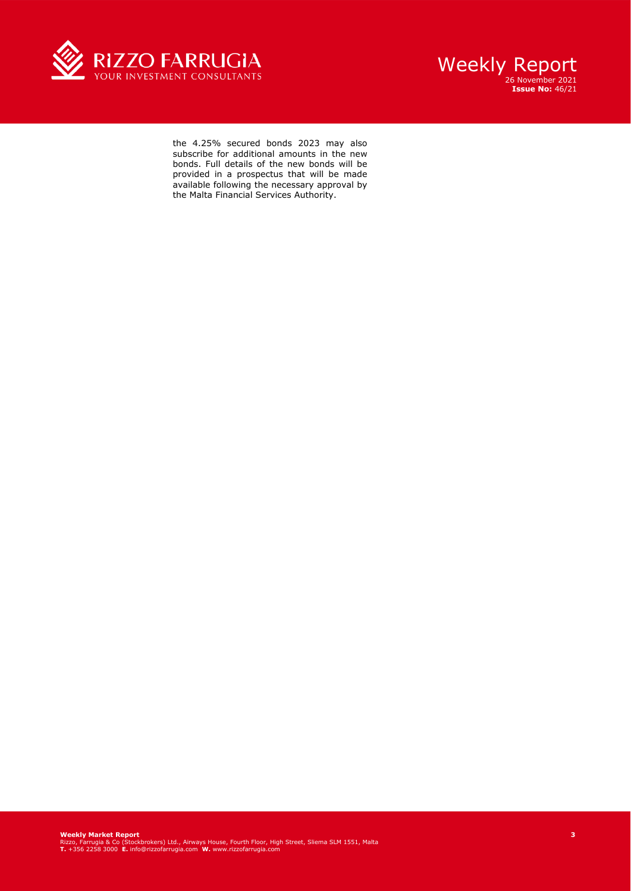



the 4.25% secured bonds 2023 may also subscribe for additional amounts in the new bonds. Full details of the new bonds will be provided in a prospectus that will be made available following the necessary approval by the Malta Financial Services Authority.

**Weekly Market Report**<br>Rizzo, Farrugia & Co (Stockbrokers) Ltd., Airways House, Fourth Floor, High Street, Sliema SLM 1551, Malta<br>T. +356 2258 3000 E. info@rizzofarrugia.com **W.** www.rizzofarrugia.com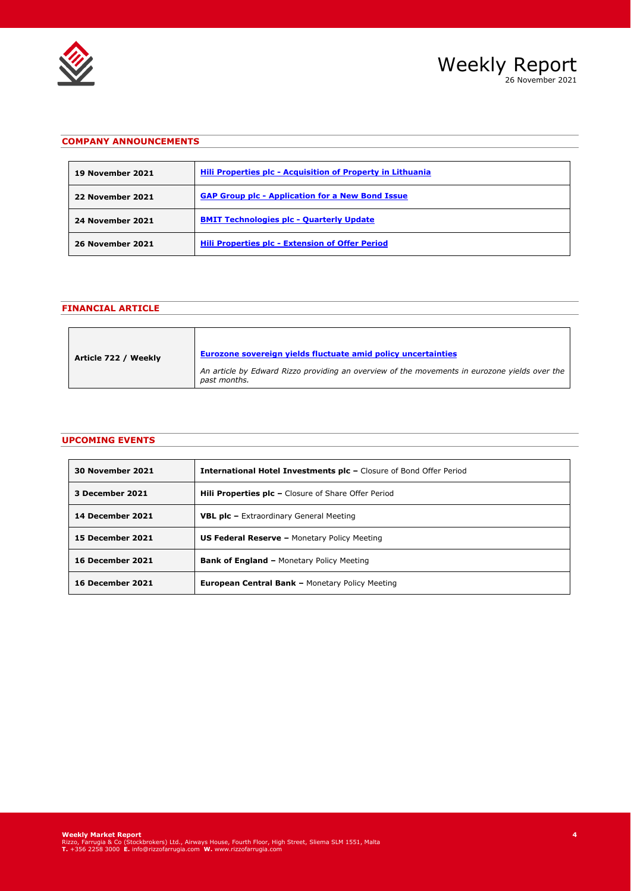



## **COMPANY ANNOUNCEMENTS**

| <b>19 November 2021</b> | Hili Properties plc - Acquisition of Property in Lithuania |
|-------------------------|------------------------------------------------------------|
| 22 November 2021        | <b>GAP Group plc - Application for a New Bond Issue</b>    |
| 24 November 2021        | <b>BMIT Technologies plc - Quarterly Update</b>            |
| <b>26 November 2021</b> | Hili Properties plc - Extension of Offer Period            |

# **FINANCIAL ARTICLE**

| Article 722 / Weekly | Eurozone sovereign vields fluctuate amid policy uncertainties                                                 |
|----------------------|---------------------------------------------------------------------------------------------------------------|
|                      | An article by Edward Rizzo providing an overview of the movements in eurozone yields over the<br>past months. |

## **UPCOMING EVENTS**

| <b>30 November 2021</b> | <b>International Hotel Investments plc - Closure of Bond Offer Period</b> |
|-------------------------|---------------------------------------------------------------------------|
| 3 December 2021         | <b>Hill Properties plc - Closure of Share Offer Period</b>                |
| 14 December 2021        | <b>VBL plc - Extraordinary General Meeting</b>                            |
| 15 December 2021        | <b>US Federal Reserve - Monetary Policy Meeting</b>                       |
| <b>16 December 2021</b> | <b>Bank of England - Monetary Policy Meeting</b>                          |
| <b>16 December 2021</b> | <b>European Central Bank - Monetary Policy Meeting</b>                    |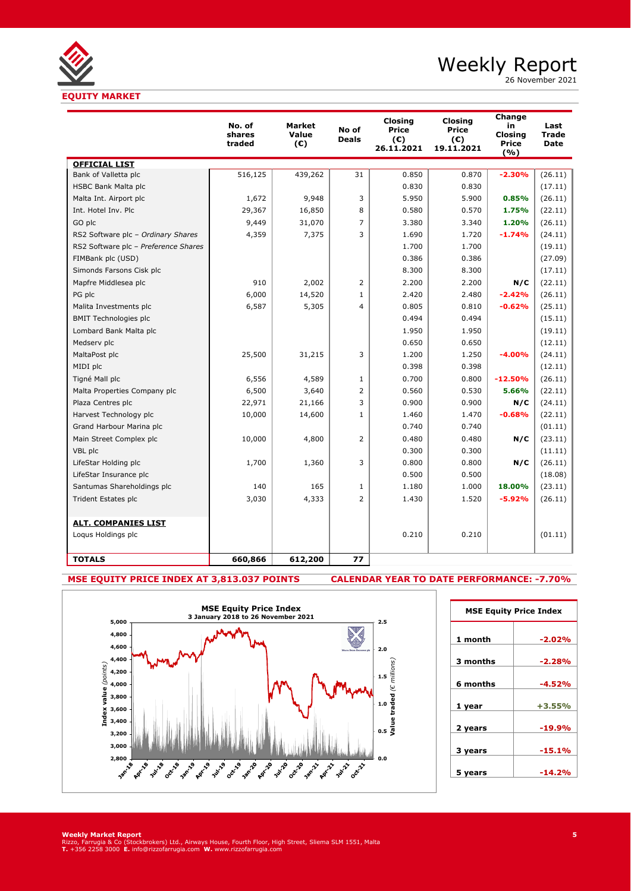

26 November 2021

|                                      | No. of<br>shares<br>traded | <b>Market</b><br>Value<br>(C) | No of<br><b>Deals</b> | <b>Closing</b><br>Price<br>(E)<br>26.11.2021 | <b>Closing</b><br><b>Price</b><br>$(\epsilon)$<br>19.11.2021 | Change<br>in<br>Closina<br><b>Price</b><br>(9/6) | Last<br><b>Trade</b><br><b>Date</b> |
|--------------------------------------|----------------------------|-------------------------------|-----------------------|----------------------------------------------|--------------------------------------------------------------|--------------------------------------------------|-------------------------------------|
| <b>OFFICIAL LIST</b>                 |                            |                               |                       |                                              |                                                              |                                                  |                                     |
| Bank of Valletta plc                 | 516,125                    | 439,262                       | 31                    | 0.850                                        | 0.870                                                        | $-2.30%$                                         | (26.11)                             |
| HSBC Bank Malta plc                  |                            |                               |                       | 0.830                                        | 0.830                                                        |                                                  | (17.11)                             |
| Malta Int. Airport plc               | 1,672                      | 9,948                         | 3                     | 5.950                                        | 5.900                                                        | 0.85%                                            | (26.11)                             |
| Int. Hotel Inv. Plc                  | 29,367                     | 16,850                        | 8                     | 0.580                                        | 0.570                                                        | 1.75%                                            | (22.11)                             |
| GO plc                               | 9,449                      | 31,070                        | $\overline{7}$        | 3.380                                        | 3.340                                                        | 1.20%                                            | (26.11)                             |
| RS2 Software plc - Ordinary Shares   | 4,359                      | 7,375                         | 3                     | 1.690                                        | 1.720                                                        | $-1.74%$                                         | (24.11)                             |
| RS2 Software plc - Preference Shares |                            |                               |                       | 1.700                                        | 1.700                                                        |                                                  | (19.11)                             |
| FIMBank plc (USD)                    |                            |                               |                       | 0.386                                        | 0.386                                                        |                                                  | (27.09)                             |
| Simonds Farsons Cisk plc             |                            |                               |                       | 8.300                                        | 8.300                                                        |                                                  | (17.11)                             |
| Mapfre Middlesea plc                 | 910                        | 2,002                         | $\overline{2}$        | 2.200                                        | 2.200                                                        | N/C                                              | (22.11)                             |
| PG plc                               | 6,000                      | 14,520                        | $\mathbf{1}$          | 2.420                                        | 2.480                                                        | $-2.42%$                                         | (26.11)                             |
| Malita Investments plc               | 6,587                      | 5,305                         | 4                     | 0.805                                        | 0.810                                                        | $-0.62%$                                         | (25.11)                             |
| <b>BMIT Technologies plc</b>         |                            |                               |                       | 0.494                                        | 0.494                                                        |                                                  | (15.11)                             |
| Lombard Bank Malta plc               |                            |                               |                       | 1.950                                        | 1.950                                                        |                                                  | (19.11)                             |
| Medserv plc                          |                            |                               |                       | 0.650                                        | 0.650                                                        |                                                  | (12.11)                             |
| MaltaPost plc                        | 25,500                     | 31,215                        | 3                     | 1.200                                        | 1.250                                                        | $-4.00%$                                         | (24.11)                             |
| MIDI plc                             |                            |                               |                       | 0.398                                        | 0.398                                                        |                                                  | (12.11)                             |
| Tigné Mall plc                       | 6,556                      | 4,589                         | $\mathbf{1}$          | 0.700                                        | 0.800                                                        | $-12.50%$                                        | (26.11)                             |
| Malta Properties Company plc         | 6,500                      | 3,640                         | $\overline{2}$        | 0.560                                        | 0.530                                                        | 5.66%                                            | (22.11)                             |
| Plaza Centres plc                    | 22,971                     | 21,166                        | 3                     | 0.900                                        | 0.900                                                        | N/C                                              | (24.11)                             |
| Harvest Technology plc               | 10,000                     | 14,600                        | $\mathbf{1}$          | 1.460                                        | 1.470                                                        | $-0.68%$                                         | (22.11)                             |
| Grand Harbour Marina plc             |                            |                               |                       | 0.740                                        | 0.740                                                        |                                                  | (01.11)                             |
| Main Street Complex plc              | 10,000                     | 4,800                         | $\overline{2}$        | 0.480                                        | 0.480                                                        | N/C                                              | (23.11)                             |
| VBL plc                              |                            |                               |                       | 0.300                                        | 0.300                                                        |                                                  | (11.11)                             |
| LifeStar Holding plc                 | 1,700                      | 1,360                         | 3                     | 0.800                                        | 0.800                                                        | N/C                                              | (26.11)                             |
| LifeStar Insurance plc               |                            |                               |                       | 0.500                                        | 0.500                                                        |                                                  | (18.08)                             |
| Santumas Shareholdings plc           | 140                        | 165                           | $\mathbf{1}$          | 1.180                                        | 1.000                                                        | 18.00%                                           | (23.11)                             |
| Trident Estates plc                  | 3,030                      | 4,333                         | $\overline{2}$        | 1.430                                        | 1.520                                                        | $-5.92%$                                         | (26.11)                             |
| <b>ALT. COMPANIES LIST</b>           |                            |                               |                       |                                              |                                                              |                                                  |                                     |
| Loqus Holdings plc                   |                            |                               |                       | 0.210                                        | 0.210                                                        |                                                  | (01.11)                             |
| <b>TOTALS</b>                        | 660,866                    | 612,200                       | 77                    |                                              |                                                              |                                                  |                                     |

**MSE EQUITY PRICE INDEX AT 3,813.037 POINTS CALENDAR YEAR TO DATE PERFORMANCE: -7.70%**



| <b>MSE Equity Price Index</b> |          |  |  |  |  |  |  |
|-------------------------------|----------|--|--|--|--|--|--|
| 1 month                       | $-2.02%$ |  |  |  |  |  |  |
| 3 months                      | $-2.28%$ |  |  |  |  |  |  |
| 6 months                      | $-4.52%$ |  |  |  |  |  |  |
| 1 year                        | $+3.55%$ |  |  |  |  |  |  |
| 2 years                       | $-19.9%$ |  |  |  |  |  |  |
|                               |          |  |  |  |  |  |  |
| 3 years                       | $-15.1%$ |  |  |  |  |  |  |
| 5 years                       | $-14.2%$ |  |  |  |  |  |  |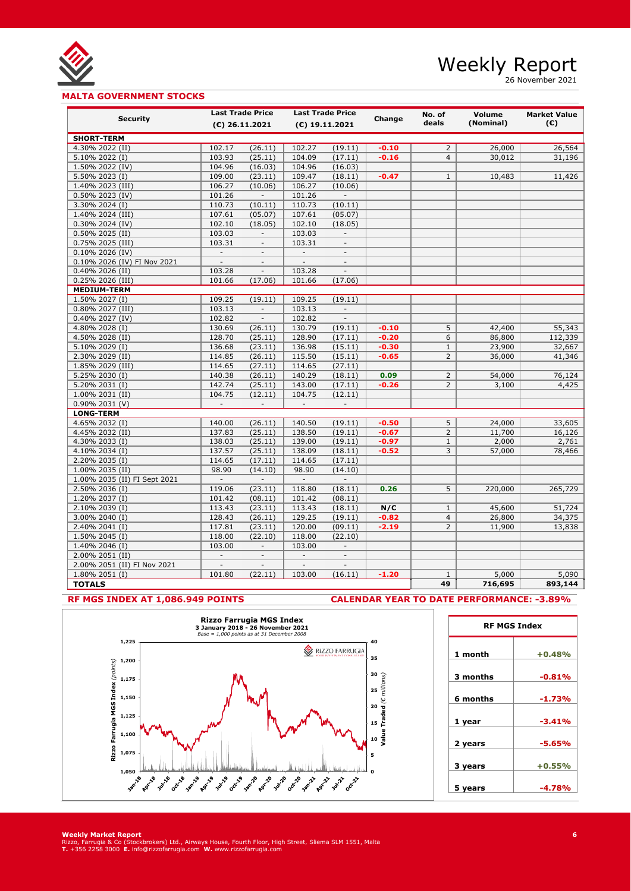

26 November 2021

## **MALTA GOVERNMENT STOCKS**

| <b>Security</b>                                | <b>Last Trade Price</b>  |                          | <b>Last Trade Price</b>           |                          | Change             | No. of         | Volume           | <b>Market Value</b> |  |
|------------------------------------------------|--------------------------|--------------------------|-----------------------------------|--------------------------|--------------------|----------------|------------------|---------------------|--|
|                                                |                          | $(E)$ 26.11.2021         |                                   | (€) 19.11.2021           |                    | deals          | (Nominal)        | (C)                 |  |
| <b>SHORT-TERM</b>                              |                          |                          |                                   |                          |                    |                |                  |                     |  |
| 4.30% 2022 (II)                                | 102.17                   | (26.11)                  | 102.27                            | (19.11)                  | $-0.10$            | $\overline{2}$ | 26,000           | 26,564              |  |
| 5.10% 2022 (I)                                 | 103.93                   | (25.11)                  | 104.09                            | (17.11)                  | $-0.16$            | $\overline{4}$ | 30,012           | 31,196              |  |
| 1.50% 2022 (IV)                                | 104.96                   | (16.03)                  | 104.96                            | (16.03)                  |                    |                |                  |                     |  |
| 5.50% 2023 (I)                                 | 109.00                   | (23.11)                  | 109.47                            | (18.11)                  | $-0.47$            | $\mathbf{1}$   | 10,483           | 11,426              |  |
| 1.40% 2023 (III)                               | 106.27                   | (10.06)                  | 106.27                            | (10.06)                  |                    |                |                  |                     |  |
| 0.50% 2023 (IV)                                | 101.26                   | $\mathbb{L}$             | 101.26                            | $\mathbb{L}$             |                    |                |                  |                     |  |
| 3.30% 2024 (I)                                 | 110.73                   | (10.11)                  | 110.73                            | (10.11)                  |                    |                |                  |                     |  |
| 1.40% 2024 (III)                               | 107.61                   | (05.07)                  | 107.61                            | (05.07)                  |                    |                |                  |                     |  |
| 0.30% 2024 (IV)                                | 102.10                   | (18.05)                  | 102.10                            | (18.05)                  |                    |                |                  |                     |  |
| $0.50\%$ 2025 (II)                             | 103.03                   | $\sim$                   | 103.03                            | $\overline{\phantom{a}}$ |                    |                |                  |                     |  |
| 0.75% 2025 (III)                               | 103.31                   | $\overline{\phantom{a}}$ | 103.31                            | $\overline{\phantom{a}}$ |                    |                |                  |                     |  |
| 0.10% 2026 (IV)                                | $\overline{\phantom{a}}$ | $\overline{\phantom{a}}$ | $\overline{\phantom{a}}$          | $\overline{\phantom{a}}$ |                    |                |                  |                     |  |
| 0.10% 2026 (IV) FI Nov 2021                    | $\Box$                   | $\overline{\phantom{a}}$ | $\overline{\phantom{a}}$          | $\overline{\phantom{a}}$ |                    |                |                  |                     |  |
| 0.40% 2026 (II)                                | 103.28                   | $\blacksquare$           | 103.28                            | $\overline{\phantom{a}}$ |                    |                |                  |                     |  |
| 0.25% 2026 (III)                               | 101.66                   | (17.06)                  | 101.66                            | (17.06)                  |                    |                |                  |                     |  |
| <b>MEDIUM-TERM</b>                             |                          |                          |                                   |                          |                    |                |                  |                     |  |
| 1.50% 2027 (I)                                 | 109.25                   | (19.11)                  | 109.25                            | (19.11)                  |                    |                |                  |                     |  |
| 0.80% 2027 (III)                               | 103.13                   | $\overline{\phantom{a}}$ | 103.13                            | $\overline{\phantom{a}}$ |                    |                |                  |                     |  |
| 0.40% 2027 (IV)                                | 102.82                   | $\overline{\phantom{a}}$ | 102.82                            | $\overline{\phantom{a}}$ |                    |                |                  |                     |  |
| 4.80% 2028 (I)                                 | 130.69                   | (26.11)                  | 130.79                            | (19.11)                  | $-0.10$            | 5              | 42,400           | 55,343              |  |
| 4.50% 2028 (II)                                | 128.70                   | (25.11)                  | 128.90                            | (17.11)                  | $-0.20$            | 6              | 86,800           | 112,339             |  |
| 5.10% 2029 (I)                                 | 136.68                   | (23.11)                  | 136.98                            | (15.11)                  | $-0.30$            | $\mathbf{1}$   | 23,900           | 32,667              |  |
| 2.30% 2029 (II)                                | 114.85                   | (26.11)                  | 115.50                            | (15.11)                  | $-0.65$            | $\overline{2}$ | 36,000           | 41,346              |  |
| 1.85% 2029 (III)                               | 114.65                   | (27.11)                  | 114.65                            | (27.11)                  |                    |                |                  |                     |  |
| 5.25% 2030 (I)                                 | 140.38                   | (26.11)                  | 140.29                            | (18.11)                  | 0.09               | $\overline{2}$ | 54,000           | 76,124              |  |
| 5.20% 2031 (I)                                 | 142.74                   | (25.11)                  | 143.00                            | (17.11)                  | $-0.26$            | $\overline{2}$ | 3,100            | 4,425               |  |
| 1.00% 2031 (II)                                | 104.75                   | (12.11)                  | 104.75                            | (12.11)                  |                    |                |                  |                     |  |
| 0.90% 2031 (V)                                 | $\overline{\phantom{a}}$ | $\overline{\phantom{a}}$ | $\overline{\phantom{a}}$          | $\overline{\phantom{a}}$ |                    |                |                  |                     |  |
| <b>LONG-TERM</b>                               |                          |                          |                                   |                          |                    |                |                  |                     |  |
| 4.65% 2032 (I)                                 | 140.00                   | (26.11)                  | 140.50                            | (19.11)                  | $-0.50$            | 5              | 24,000           | 33,605              |  |
| 4.45% 2032 (II)                                | 137.83                   | (25.11)                  | 138.50                            | (19.11)                  | $-0.67$            | $\overline{2}$ | 11,700           | 16,126              |  |
| 4.30% 2033 (I)                                 | 138.03                   | (25.11)                  | 139.00                            | (19.11)                  | $-0.97$            | $\mathbf{1}$   | 2,000            | 2,761               |  |
| 4.10% 2034 (I)                                 | 137.57                   | (25.11)                  | 138.09                            | (18.11)                  | $-0.52$            | 3              | 57,000           | 78,466              |  |
| 2.20% 2035 (I)                                 | 114.65                   | (17.11)                  | 114.65                            | (17.11)                  |                    |                |                  |                     |  |
| 1.00% 2035 (II)                                | 98.90<br>$\mathbf{r}$    | (14.10)<br>$\mathcal{L}$ | 98.90<br>$\overline{\phantom{a}}$ | (14.10)<br>$\mathcal{L}$ |                    |                |                  |                     |  |
| 1.00% 2035 (II) FI Sept 2021<br>2.50% 2036 (I) | 119.06                   | (23.11)                  | 118.80                            | (18.11)                  | 0.26               | 5              | 220,000          | 265,729             |  |
| 1.20% 2037 (I)                                 | 101.42                   |                          | 101.42                            |                          |                    |                |                  |                     |  |
| 2.10% 2039 (I)                                 | 113.43                   | (08.11)<br>(23.11)       | 113.43                            | (08.11)<br>(18.11)       | N/C                | $\mathbf{1}$   | 45,600           | 51,724              |  |
| 3.00% 2040 (I)                                 | 128.43                   | (26.11)                  | 129.25                            | (19.11)                  |                    | 4              |                  |                     |  |
| 2.40% 2041 (I)                                 | 117.81                   | (23.11)                  | 120.00                            | (09.11)                  | $-0.82$<br>$-2.19$ | $\overline{2}$ | 26,800<br>11,900 | 34,375<br>13,838    |  |
| 1.50% 2045 (I)                                 | 118.00                   | (22.10)                  | 118.00                            | (22.10)                  |                    |                |                  |                     |  |
| 1.40% 2046 (I)                                 | 103.00                   | $\overline{\phantom{a}}$ | 103.00                            | $\overline{\phantom{a}}$ |                    |                |                  |                     |  |
| 2.00% 2051 (II)                                |                          | $\overline{\phantom{a}}$ |                                   | $\overline{\phantom{a}}$ |                    |                |                  |                     |  |
| 2.00% 2051 (II) FI Nov 2021                    |                          | $\overline{a}$           |                                   | $\overline{a}$           |                    |                |                  |                     |  |
| 1.80% 2051 (I)                                 | 101.80                   | (22.11)                  | 103.00                            | (16.11)                  | $-1.20$            | $\mathbf{1}$   | 5,000            | 5,090               |  |
| <b>TOTALS</b>                                  |                          |                          |                                   |                          |                    | 49             | 716,695          | 893,144             |  |
|                                                |                          |                          |                                   |                          |                    |                |                  |                     |  |

### **RF MGS INDEX AT 1,086.949 POINTS CALENDAR YEAR TO DATE PERFORMANCE: -3.89%**

**RF MGS Index**



**Weekly Market Report**<br>Rizzo, Farrugia & Co (Stockbrokers) Ltd., Airways House, Fourth Floor, High Street, Sliema SLM 1551, Malta<br>T. +356 2258 3000 E. info@rizzofarrugia.com **W.** www.rizzofarrugia.com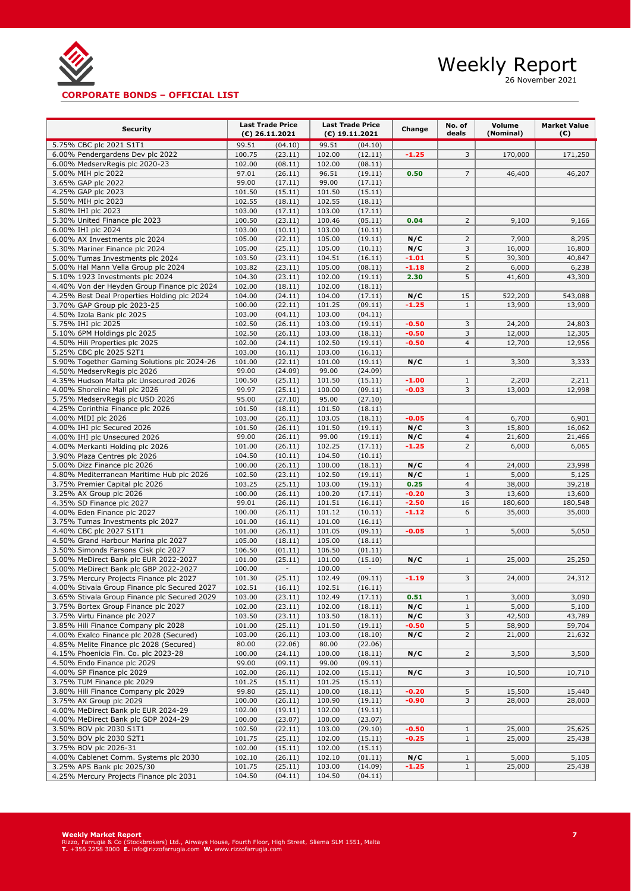

26 November 2021

## **CORPORATE BONDS – OFFICIAL LIST**

| <b>Security</b>                                                                            | <b>Last Trade Price</b> |                           | <b>Last Trade Price</b> |                    | Change         | No. of              | Volume           | <b>Market Value</b> |
|--------------------------------------------------------------------------------------------|-------------------------|---------------------------|-------------------------|--------------------|----------------|---------------------|------------------|---------------------|
|                                                                                            |                         | $(E)$ 26.11.2021          |                         | $(E)$ 19.11.2021   |                | deals               | (Nominal)        | (€)                 |
| 5.75% CBC plc 2021 S1T1                                                                    | 99.51                   | (04.10)                   | 99.51                   | (04.10)            |                |                     |                  |                     |
| 6.00% Pendergardens Dev plc 2022                                                           | 100.75                  | (23.11)                   | 102.00                  | (12.11)            | $-1.25$        | 3                   | 170,000          | 171,250             |
| 6.00% MedservRegis plc 2020-23                                                             | 102.00<br>97.01         | (08.11)<br>(26.11)        | 102.00                  | (08.11)            |                | $\overline{7}$      |                  | 46,207              |
| 5.00% MIH plc 2022<br>3.65% GAP plc 2022                                                   | 99.00                   | (17.11)                   | 96.51<br>99.00          | (19.11)<br>(17.11) | 0.50           |                     | 46,400           |                     |
| 4.25% GAP plc 2023                                                                         | 101.50                  | (15.11)                   | 101.50                  | (15.11)            |                |                     |                  |                     |
| 5.50% MIH plc 2023                                                                         | 102.55                  | (18.11)                   | 102.55                  | (18.11)            |                |                     |                  |                     |
| 5.80% IHI plc 2023                                                                         | 103.00                  | (17.11)                   | 103.00                  | (17.11)            |                |                     |                  |                     |
| 5.30% United Finance plc 2023                                                              | 100.50                  | (23.11)                   | 100.46                  | (05.11)            | 0.04           | $\overline{2}$      | 9,100            | 9,166               |
| 6.00% IHI plc 2024                                                                         | 103.00                  | (10.11)                   | 103.00                  | (10.11)            |                |                     |                  |                     |
| 6.00% AX Investments plc 2024                                                              | 105.00                  | (22.11)                   | 105.00                  | (19.11)            | N/C            | $\overline{2}$      | 7,900            | 8,295               |
| 5.30% Mariner Finance plc 2024                                                             | 105.00                  | (25.11)                   | 105.00                  | (10.11)            | N/C            | 3                   | 16,000           | 16,800              |
| 5.00% Tumas Investments plc 2024                                                           | 103.50                  | (23.11)                   | 104.51                  | (16.11)            | $-1.01$        | 5                   | 39,300           | 40,847              |
| 5.00% Hal Mann Vella Group plc 2024                                                        | 103.82                  | (23.11)                   | 105.00                  | (08.11)            | $-1.18$        | $\overline{2}$      | 6,000            | 6,238               |
| 5.10% 1923 Investments plc 2024                                                            | 104.30                  | (23.11)                   | 102.00                  | (19.11)            | 2.30           | 5                   | 41,600           | 43,300              |
| 4.40% Von der Heyden Group Finance plc 2024<br>4.25% Best Deal Properties Holding plc 2024 | 102.00<br>104.00        | (18.11)<br>(24.11)        | 102.00<br>104.00        | (18.11)<br>(17.11) |                | 15                  | 522,200          | 543,088             |
| 3.70% GAP Group plc 2023-25                                                                | 100.00                  | (22.11)                   | 101.25                  | (09.11)            | N/C<br>$-1.25$ | $\mathbf{1}$        | 13,900           | 13,900              |
| 4.50% Izola Bank plc 2025                                                                  | 103.00                  | (04.11)                   | 103.00                  | (04.11)            |                |                     |                  |                     |
| 5.75% IHI plc 2025                                                                         | 102.50                  | (26.11)                   | 103.00                  | (19.11)            | $-0.50$        | 3                   | 24,200           | 24,803              |
| 5.10% 6PM Holdings plc 2025                                                                | 102.50                  | (26.11)                   | 103.00                  | (18.11)            | $-0.50$        | 3                   | 12,000           | 12,305              |
| 4.50% Hili Properties plc 2025                                                             | 102.00                  | (24.11)                   | 102.50                  | (19.11)            | $-0.50$        | $\overline{4}$      | 12,700           | 12,956              |
| 5.25% CBC plc 2025 S2T1                                                                    | 103.00                  | (16.11)                   | 103.00                  | (16.11)            |                |                     |                  |                     |
| 5.90% Together Gaming Solutions plc 2024-26                                                | 101.00                  | (22.11)                   | 101.00                  | (19.11)            | N/C            | $\mathbf{1}$        | 3,300            | 3,333               |
| 4.50% MedservRegis plc 2026                                                                | 99.00                   | (24.09)                   | 99.00                   | (24.09)            |                |                     |                  |                     |
| 4.35% Hudson Malta plc Unsecured 2026                                                      | 100.50                  | (25.11)                   | 101.50                  | (15.11)            | $-1.00$        | $\mathbf{1}$        | 2,200            | 2,211               |
| 4.00% Shoreline Mall plc 2026                                                              | 99.97                   | (25.11)                   | 100.00                  | (09.11)            | $-0.03$        | 3                   | 13,000           | 12,998              |
| 5.75% MedservRegis plc USD 2026                                                            | 95.00                   | (27.10)                   | 95.00                   | (27.10)            |                |                     |                  |                     |
| 4.25% Corinthia Finance plc 2026                                                           | 101.50                  | (18.11)                   | 101.50                  | (18.11)            |                |                     |                  |                     |
| 4.00% MIDI plc 2026                                                                        | 103.00                  | (26.11)                   | 103.05                  | (18.11)            | $-0.05$        | $\overline{4}$      | 6,700            | 6,901               |
| 4.00% IHI plc Secured 2026<br>4.00% IHI plc Unsecured 2026                                 | 101.50<br>99.00         | (26.11)                   | 101.50<br>99.00         | (19.11)            | N/C<br>N/C     | 3<br>$\overline{4}$ | 15,800<br>21,600 | 16,062<br>21,466    |
| 4.00% Merkanti Holding plc 2026                                                            | 101.00                  | (26.11)<br>(26.11)        | 102.25                  | (19.11)<br>(17.11) | $-1.25$        | $\overline{2}$      | 6,000            | 6,065               |
| 3.90% Plaza Centres plc 2026                                                               | 104.50                  | (10.11)                   | 104.50                  | (10.11)            |                |                     |                  |                     |
| 5.00% Dizz Finance plc 2026                                                                | 100.00                  | (26.11)                   | 100.00                  | (18.11)            | N/C            | 4                   | 24,000           | 23,998              |
| 4.80% Mediterranean Maritime Hub plc 2026                                                  | 102.50                  | (23.11)                   | 102.50                  | (19.11)            | N/C            | $\mathbf{1}$        | 5,000            | 5,125               |
| 3.75% Premier Capital plc 2026                                                             | 103.25                  | (25.11)                   | 103.00                  | (19.11)            | 0.25           | $\overline{4}$      | 38,000           | 39,218              |
| 3.25% AX Group plc 2026                                                                    | 100.00                  | (26.11)                   | 100.20                  | (17.11)            | $-0.20$        | 3                   | 13,600           | 13,600              |
| 4.35% SD Finance plc 2027                                                                  | 99.01                   | (26.11)                   | 101.51                  | (16.11)            | $-2.50$        | 16                  | 180,600          | 180,548             |
| 4.00% Eden Finance plc 2027                                                                | 100.00                  | (26.11)                   | 101.12                  | (10.11)            | $-1.12$        | 6                   | 35,000           | 35,000              |
| 3.75% Tumas Investments plc 2027                                                           | 101.00                  | (16.11)                   | 101.00                  | (16.11)            |                |                     |                  |                     |
| 4.40% CBC plc 2027 S1T1                                                                    | 101.00                  | (26.11)                   | 101.05                  | (09.11)            | $-0.05$        | $\mathbf{1}$        | 5,000            | 5,050               |
| 4.50% Grand Harbour Marina plc 2027                                                        | 105.00                  | (18.11)                   | 105.00                  | (18.11)            |                |                     |                  |                     |
| 3.50% Simonds Farsons Cisk plc 2027                                                        | 106.50                  | (01.11)                   | 106.50                  | (01.11)            |                |                     |                  |                     |
| 5.00% MeDirect Bank plc EUR 2022-2027                                                      | 101.00                  | (25.11)<br>$\blacksquare$ | 101.00<br>100.00        | (15.10)            | N/C            | $\mathbf{1}$        | 25,000           | 25,250              |
| 5.00% MeDirect Bank plc GBP 2022-2027<br>3.75% Mercury Projects Finance plc 2027           | 100.00<br>101.30        | (25.11)                   | 102.49                  | (09.11)            | $-1.19$        | 3                   | 24,000           | 24,312              |
| 4.00% Stivala Group Finance plc Secured 2027                                               | 102.51                  | (16.11)                   | 102.51                  | (16.11)            |                |                     |                  |                     |
| 3.65% Stivala Group Finance plc Secured 2029                                               | 103.00                  | (23.11)                   | 102.49                  | (17.11)            | 0.51           | $1\,$               | 3,000            | 3,090               |
| 3.75% Bortex Group Finance plc 2027                                                        | 102.00                  | (23.11)                   | 102.00                  | (18.11)            | N/C            | $\mathbf{1}$        | 5,000            | 5,100               |
| 3.75% Virtu Finance plc 2027                                                               | 103.50                  | (23.11)                   | 103.50                  | (18.11)            | N/C            | 3                   | 42,500           | 43,789              |
| 3.85% Hili Finance Company plc 2028                                                        | 101.00                  | (25.11)                   | 101.50                  | (19.11)            | $-0.50$        | 5                   | 58,900           | 59,704              |
| 4.00% Exalco Finance plc 2028 (Secured)                                                    | 103.00                  | (26.11)                   | 103.00                  | (18.10)            | N/C            | $\overline{2}$      | 21,000           | 21,632              |
| 4.85% Melite Finance plc 2028 (Secured)                                                    | 80.00                   | (22.06)                   | 80.00                   | (22.06)            |                |                     |                  |                     |
| 4.15% Phoenicia Fin. Co. plc 2023-28                                                       | 100.00                  | (24.11)                   | 100.00                  | (18.11)            | N/C            | $\overline{2}$      | 3,500            | 3,500               |
| 4.50% Endo Finance plc 2029                                                                | 99.00                   | (09.11)                   | 99.00                   | (09.11)            |                |                     |                  |                     |
| 4.00% SP Finance plc 2029                                                                  | 102.00                  | (26.11)                   | 102.00                  | (15.11)            | N/C            | 3                   | 10,500           | 10,710              |
| 3.75% TUM Finance plc 2029                                                                 | 101.25                  | (15.11)                   | 101.25                  | (15.11)            |                |                     |                  |                     |
| 3.80% Hili Finance Company plc 2029                                                        | 99.80                   | (25.11)                   | 100.00                  | (18.11)            | $-0.20$        | 5                   | 15,500           | 15,440              |
| 3.75% AX Group plc 2029<br>4.00% MeDirect Bank plc EUR 2024-29                             | 100.00<br>102.00        | (26.11)<br>(19.11)        | 100.90<br>102.00        | (19.11)<br>(19.11) | $-0.90$        | 3                   | 28,000           | 28,000              |
| 4.00% MeDirect Bank plc GDP 2024-29                                                        | 100.00                  | (23.07)                   | 100.00                  | (23.07)            |                |                     |                  |                     |
| 3.50% BOV plc 2030 S1T1                                                                    | 102.50                  | (22.11)                   | 103.00                  | (29.10)            | $-0.50$        | $\mathbf{1}$        | 25,000           | 25,625              |
| 3.50% BOV plc 2030 S2T1                                                                    | 101.75                  | (25.11)                   | 102.00                  | (15.11)            | $-0.25$        | $\mathbf{1}$        | 25,000           | 25,438              |
| 3.75% BOV plc 2026-31                                                                      | 102.00                  | (15.11)                   | 102.00                  | (15.11)            |                |                     |                  |                     |
| 4.00% Cablenet Comm. Systems plc 2030                                                      | 102.10                  | (26.11)                   | 102.10                  | (01.11)            | N/C            | $\mathbf{1}$        | 5,000            | 5,105               |
| 3.25% APS Bank plc 2025/30                                                                 | 101.75                  | (25.11)                   | 103.00                  | (14.09)            | $-1.25$        | $\mathbf{1}$        | 25,000           | 25,438              |
| 4.25% Mercury Projects Finance plc 2031                                                    | 104.50                  | (04.11)                   | 104.50                  | (04.11)            |                |                     |                  |                     |